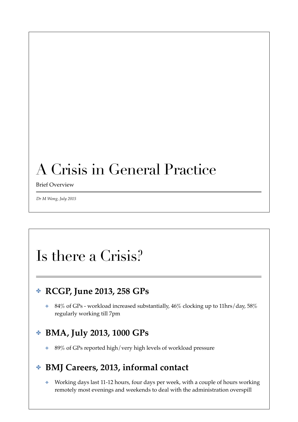## A Crisis in General Practice

Brief Overview

*Dr M Wong, July 2015*

## Is there a Crisis?

### ✤ **RCGP, June 2013, 258 GPs**

✤ 84% of GPs - workload increased substantially, 46% clocking up to 11hrs/day, 58% regularly working till 7pm

### ✤ **BMA, July 2013, 1000 GPs**

✤ 89% of GPs reported high/very high levels of workload pressure

### ✤ **BMJ Careers, 2013, informal contact**

✤ Working days last 11-12 hours, four days per week, with a couple of hours working remotely most evenings and weekends to deal with the administration overspill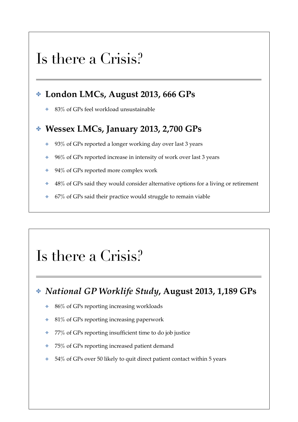### Is there a Crisis?

#### ✤ **London LMCs, August 2013, 666 GPs**

 **★ 83% of GPs feel workload unsustainable** 

#### ✤ **Wessex LMCs, January 2013, 2,700 GPs**

- **↓** 93% of GPs reported a longer working day over last 3 years
- $\cdot$  96% of GPs reported increase in intensity of work over last 3 years
- **↓** 94% of GPs reported more complex work
- **↓ 48% of GPs said they would consider alternative options for a living or retirement**
- $\div$  67% of GPs said their practice would struggle to remain viable

### Is there a Crisis?

#### ✤ *National GP Worklife Study***, August 2013, 1,189 GPs**

- **★** 86% of GPs reporting increasing workloads
- $\cdot$  81% of GPs reporting increasing paperwork
- ✤ 77% of GPs reporting insufficient time to do job justice
- $\cdot$  75% of GPs reporting increased patient demand
- $\cdot$  54% of GPs over 50 likely to quit direct patient contact within 5 years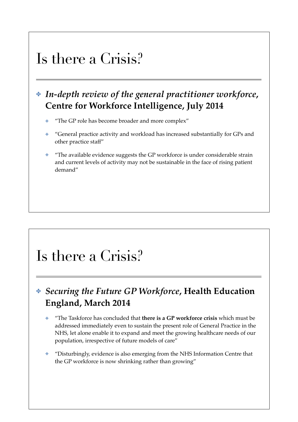### Is there a Crisis?

### ✤ *In-depth review of the general practitioner workforce***, Centre for Workforce Intelligence, July 2014**

- ✤ "The GP role has become broader and more complex"
- ✤ "General practice activity and workload has increased substantially for GPs and other practice staff"
- ✤ "The available evidence suggests the GP workforce is under considerable strain and current levels of activity may not be sustainable in the face of rising patient demand"

### Is there a Crisis?

### ✤ *Securing the Future GP Workforce***, Health Education England, March 2014**

- ✤ "The Taskforce has concluded that **there is a GP workforce crisis** which must be addressed immediately even to sustain the present role of General Practice in the NHS, let alone enable it to expand and meet the growing healthcare needs of our population, irrespective of future models of care"
- ✤ "Disturbingly, evidence is also emerging from the NHS Information Centre that the GP workforce is now shrinking rather than growing"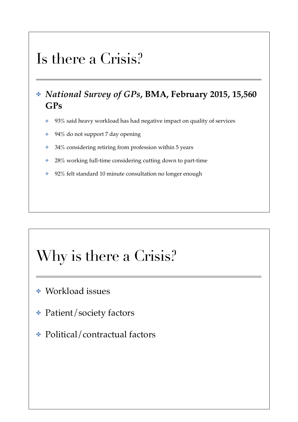### Is there a Crisis?

- ✤ *National Survey of GPs***, BMA, February 2015, 15,560 GPs**
	- ✤ 93% said heavy workload has had negative impact on quality of services
	- $\div$  94% do not support 7 day opening
	- ✤ 34% considering retiring from profession within 5 years
	- **↓ 28% working full-time considering cutting down to part-time**
	- ◆ 92% felt standard 10 minute consultation no longer enough

## Why is there a Crisis?

### ✤ Workload issues

- ✤ Patient/society factors
- ✤ Political/contractual factors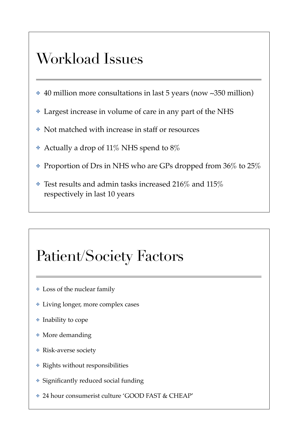## Workload Issues

- ✤ 40 million more consultations in last 5 years (now ∼350 million)
- ✤ Largest increase in volume of care in any part of the NHS
- ✤ Not matched with increase in staff or resources
- Actually a drop of 11% NHS spend to  $8\%$
- ✤ Proportion of Drs in NHS who are GPs dropped from 36% to 25%
- $\cdot$  Test results and admin tasks increased 216% and 115% respectively in last 10 years

# Patient/Society Factors

- ✤ Loss of the nuclear family
- ✤ Living longer, more complex cases
- ✤ Inability to cope
- ✤ More demanding
- ✤ Risk-averse society
- ✤ Rights without responsibilities
- ✤ Significantly reduced social funding
- ✤ 24 hour consumerist culture 'GOOD FAST & CHEAP'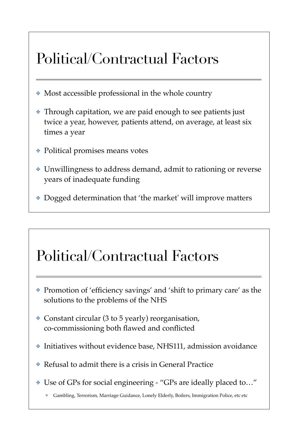## Political/Contractual Factors

- ✤ Most accessible professional in the whole country
- ✤ Through capitation, we are paid enough to see patients just twice a year, however, patients attend, on average, at least six times a year
- ✤ Political promises means votes
- ✤ Unwillingness to address demand, admit to rationing or reverse years of inadequate funding
- ✤ Dogged determination that 'the market' will improve matters

### Political/Contractual Factors

- ✤ Promotion of 'efficiency savings' and 'shift to primary care' as the solutions to the problems of the NHS
- ✤ Constant circular (3 to 5 yearly) reorganisation, co-commissioning both flawed and conflicted
- ✤ Initiatives without evidence base, NHS111, admission avoidance
- ✤ Refusal to admit there is a crisis in General Practice
- ✤ Use of GPs for social engineering "GPs are ideally placed to…"
	- ✤ Gambling, Terrorism, Marriage Guidance, Lonely Elderly, Boilers, Immigration Police, etc etc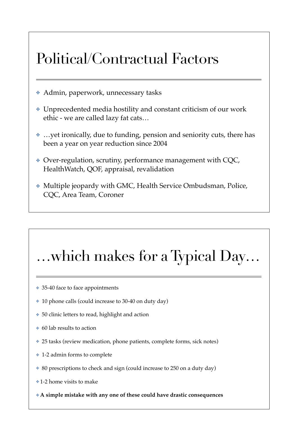## Political/Contractual Factors

- ✤ Admin, paperwork, unnecessary tasks
- ✤ Unprecedented media hostility and constant criticism of our work ethic - we are called lazy fat cats…
- …yet ironically, due to funding, pension and seniority cuts, there has been a year on year reduction since 2004
- ✤ Over-regulation, scrutiny, performance management with CQC, HealthWatch, QOF, appraisal, revalidation
- ✤ Multiple jeopardy with GMC, Health Service Ombudsman, Police, CQC, Area Team, Coroner

# …which makes for a Typical Day…

- ✤ 35-40 face to face appointments
- ✤ 10 phone calls (could increase to 30-40 on duty day)
- ✤ 50 clinic letters to read, highlight and action
- ✤ 60 lab results to action
- ✤ 25 tasks (review medication, phone patients, complete forms, sick notes)
- ✤ 1-2 admin forms to complete
- ✤ 80 prescriptions to check and sign (could increase to 250 on a duty day)
- ✤ 1-2 home visits to make
- ✤ **A simple mistake with any one of these could have drastic consequences**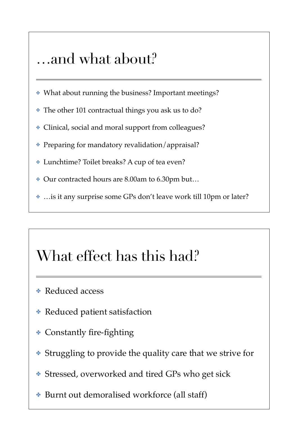### …and what about?

- ✤ What about running the business? Important meetings?
- ✤ The other 101 contractual things you ask us to do?
- ✤ Clinical, social and moral support from colleagues?
- ✤ Preparing for mandatory revalidation/appraisal?
- ✤ Lunchtime? Toilet breaks? A cup of tea even?
- ✤ Our contracted hours are 8.00am to 6.30pm but…
- ✤ …is it any surprise some GPs don't leave work till 10pm or later?

## What effect has this had?

- ✤ Reduced access
- ✤ Reduced patient satisfaction
- ✤ Constantly fire-fighting
- ✤ Struggling to provide the quality care that we strive for
- ✤ Stressed, overworked and tired GPs who get sick
- Burnt out demoralised workforce (all staff)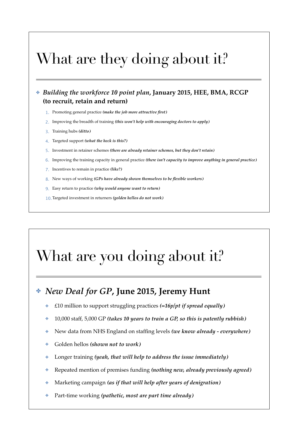## What are they doing about it?

#### ✤ *Building the workforce 10 point plan***, January 2015, HEE, BMA, RCGP (to recruit, retain and return)**

- 1. Promoting general practice *(make the job more attractive first)*
- 2. Improving the breadth of training *(this won't help with encouraging doctors to apply)*
- 3. Training hubs *(ditto)*
- 4. Targeted support *(what the heck is this?)*
- 5. Investment in retainer schemes *(there are already retainer schemes, but they don't retain)*
- 6. Improving the training capacity in general practice *(there isn't capacity to improve anything in general practice)*
- 7. Incentives to remain in practice *(like?)*
- 8. New ways of working *(GPs have already shown themselves to be flexible workers)*
- 9. Easy return to practice *(why would anyone want to return)*
- 10.Targeted investment in returners *(golden hellos do not work)*

## What are you doing about it?

#### ✤ *New Deal for GP***, June 2015, Jeremy Hunt**

- ✤ £10 million to support struggling practices *(=16p/pt if spread equally)*
- ✤ 10,000 staff, 5,000 GP *(takes 10 years to train a GP, so this is patently rubbish)*
- ✤ New data from NHS England on staffing levels *(we know already everywhere)*
- ✤ Golden hellos *(shown not to work)*
- Longer training *(yeah, that will help to address the issue immediately)*
- ✤ Repeated mention of premises funding *(nothing new, already previously agreed)*
- ✤ Marketing campaign *(as if that will help after years of denigration)*
- ✤ Part-time working *(pathetic, most are part time already)*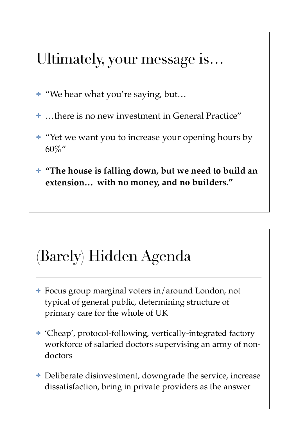### Ultimately, your message is…

- ✤ "We hear what you're saying, but…
- ✤ …there is no new investment in General Practice"
- ✤ "Yet we want you to increase your opening hours by 60%"
- ✤ **"The house is falling down, but we need to build an extension… with no money, and no builders."**

# (Barely) Hidden Agenda

- ✤ Focus group marginal voters in/around London, not typical of general public, determining structure of primary care for the whole of UK
- ✤ 'Cheap', protocol-following, vertically-integrated factory workforce of salaried doctors supervising an army of nondoctors
- ✤ Deliberate disinvestment, downgrade the service, increase dissatisfaction, bring in private providers as the answer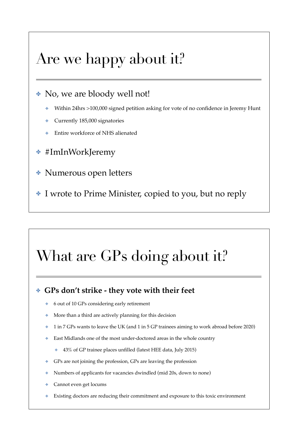### Are we happy about it?

#### ✤ No, we are bloody well not!

- ✤ Within 24hrs >100,000 signed petition asking for vote of no confidence in Jeremy Hunt
- ✤ Currently 185,000 signatories
- ✤ Entire workforce of NHS alienated
- ✤ #ImInWorkJeremy
- ✤ Numerous open letters
- ✤ I wrote to Prime Minister, copied to you, but no reply

# What are GPs doing about it?

#### ✤ **GPs don't strike - they vote with their feet**

- ✤ 6 out of 10 GPs considering early retirement
- ✤ More than a third are actively planning for this decision
- ✤ 1 in 7 GPs wants to leave the UK (and 1 in 5 GP trainees aiming to work abroad before 2020)
- ✤ East Midlands one of the most under-doctored areas in the whole country
	- ✤ 43% of GP trainee places unfilled (latest HEE data, July 2015)
- ✤ GPs are not joining the profession, GPs are leaving the profession
- ✤ Numbers of applicants for vacancies dwindled (mid 20s, down to none)
- ✤ Cannot even get locums
- ✤ Existing doctors are reducing their commitment and exposure to this toxic environment